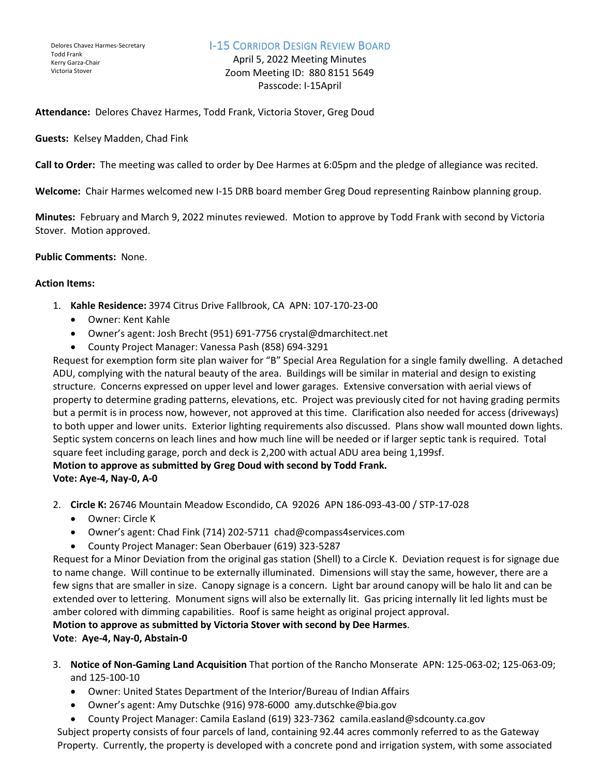## I-15 CORRIDOR DESIGN REVIEW BOARD

April 5, 2022 Meeting Minutes Zoom Meeting ID: 880 8151 5649 Passcode: I-15April

**Attendance:** Delores Chavez Harmes, Todd Frank, Victoria Stover, Greg Doud

**Guests:** Kelsey Madden, Chad Fink

**Call to Order:** The meeting was called to order by Dee Harmes at 6:05pm and the pledge of allegiance was recited.

**Welcome:** Chair Harmes welcomed new I-15 DRB board member Greg Doud representing Rainbow planning group.

**Minutes:** February and March 9, 2022 minutes reviewed. Motion to approve by Todd Frank with second by Victoria Stover. Motion approved.

#### **Public Comments:** None.

### **Action Items:**

- 1. **Kahle Residence:** 3974 Citrus Drive Fallbrook, CA APN: 107-170-23-00
	- Owner: Kent Kahle
	- Owner's agent: Josh Brecht (951) 691-7756 crystal@dmarchitect.net
	- County Project Manager: Vanessa Pash (858) 694-3291

Request for exemption form site plan waiver for "B" Special Area Regulation for a single family dwelling. A detached ADU, complying with the natural beauty of the area. Buildings will be similar in material and design to existing structure. Concerns expressed on upper level and lower garages. Extensive conversation with aerial views of property to determine grading patterns, elevations, etc. Project was previously cited for not having grading permits but a permit is in process now, however, not approved at this time. Clarification also needed for access (driveways) to both upper and lower units. Exterior lighting requirements also discussed. Plans show wall mounted down lights. Septic system concerns on leach lines and how much line will be needed or if larger septic tank is required. Total square feet including garage, porch and deck is 2,200 with actual ADU area being 1,199sf. **Motion to approve as submitted by Greg Doud with second by Todd Frank.**

**Vote: Aye-4, Nay-0, A-0**

- 2. **Circle K:** 26746 Mountain Meadow Escondido, CA 92026 APN 186-093-43-00 / STP-17-028
	- Owner: Circle K
	- Owner's agent: Chad Fink (714) 202-5711 chad@compass4services.com
	- County Project Manager: Sean Oberbauer (619) 323-5287

Request for a Minor Deviation from the original gas station (Shell) to a Circle K. Deviation request is for signage due to name change. Will continue to be externally illuminated. Dimensions will stay the same, however, there are a few signs that are smaller in size. Canopy signage is a concern. Light bar around canopy will be halo lit and can be extended over to lettering. Monument signs will also be externally lit. Gas pricing internally lit led lights must be amber colored with dimming capabilities. Roof is same height as original project approval.

**Motion to approve as submitted by Victoria Stover with second by Dee Harmes**.

**Vote**: **Aye-4, Nay-0, Abstain-0** 

- 3. **Notice of Non-Gaming Land Acquisition** That portion of the Rancho Monserate APN: 125-063-02; 125-063-09; and 125-100-10
	- Owner: United States Department of the Interior/Bureau of Indian Affairs
	- Owner's agent: Amy Dutschke (916) 978-6000 amy.dutschke@bia.gov
	- County Project Manager: Camila Easland (619) 323-7362 camila.easland@sdcounty.ca.gov

Subject property consists of four parcels of land, containing 92.44 acres commonly referred to as the Gateway Property. Currently, the property is developed with a concrete pond and irrigation system, with some associated